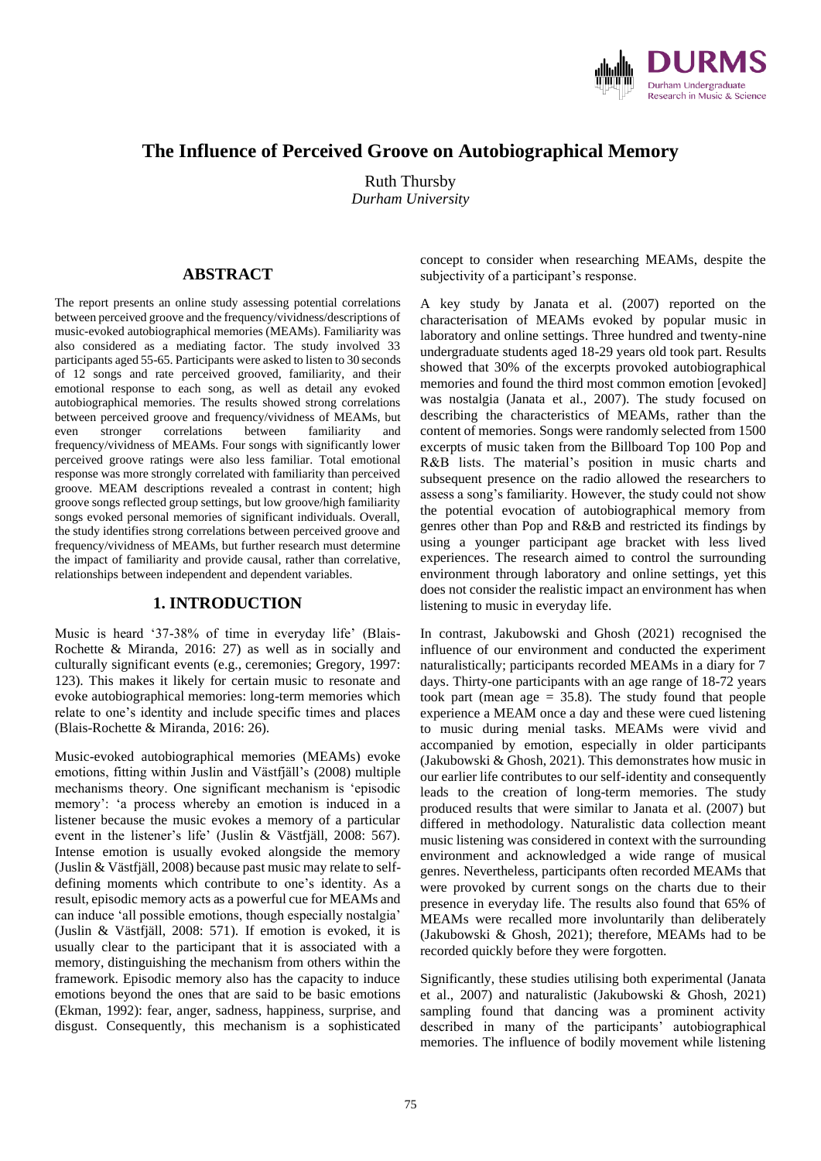

# **The Influence of Perceived Groove on Autobiographical Memory**

Ruth Thursby *Durham University*

### **ABSTRACT**

The report presents an online study assessing potential correlations between perceived groove and the frequency/vividness/descriptions of music-evoked autobiographical memories (MEAMs). Familiarity was also considered as a mediating factor. The study involved 33 participants aged 55-65. Participants were asked to listen to 30 seconds of 12 songs and rate perceived grooved, familiarity, and their emotional response to each song, as well as detail any evoked autobiographical memories. The results showed strong correlations between perceived groove and frequency/vividness of MEAMs, but even stronger correlations between familiarity and frequency/vividness of MEAMs. Four songs with significantly lower perceived groove ratings were also less familiar. Total emotional response was more strongly correlated with familiarity than perceived groove. MEAM descriptions revealed a contrast in content; high groove songs reflected group settings, but low groove/high familiarity songs evoked personal memories of significant individuals. Overall, the study identifies strong correlations between perceived groove and frequency/vividness of MEAMs, but further research must determine the impact of familiarity and provide causal, rather than correlative, relationships between independent and dependent variables.

#### **1. INTRODUCTION**

Music is heard '37-38% of time in everyday life' (Blais-Rochette & Miranda, 2016: 27) as well as in socially and culturally significant events (e.g., ceremonies; Gregory, 1997: 123). This makes it likely for certain music to resonate and evoke autobiographical memories: long-term memories which relate to one's identity and include specific times and places (Blais-Rochette & Miranda, 2016: 26).

Music-evoked autobiographical memories (MEAMs) evoke emotions, fitting within Juslin and Västfjäll's (2008) multiple mechanisms theory. One significant mechanism is 'episodic memory': 'a process whereby an emotion is induced in a listener because the music evokes a memory of a particular event in the listener's life' (Juslin & Västfjäll, 2008: 567). Intense emotion is usually evoked alongside the memory (Juslin & Västfjäll, 2008) because past music may relate to selfdefining moments which contribute to one's identity. As a result, episodic memory acts as a powerful cue for MEAMs and can induce 'all possible emotions, though especially nostalgia' (Juslin & Västfjäll, 2008: 571). If emotion is evoked, it is usually clear to the participant that it is associated with a memory, distinguishing the mechanism from others within the framework. Episodic memory also has the capacity to induce emotions beyond the ones that are said to be basic emotions (Ekman, 1992): fear, anger, sadness, happiness, surprise, and disgust. Consequently, this mechanism is a sophisticated concept to consider when researching MEAMs, despite the subjectivity of a participant's response.

A key study by Janata et al. (2007) reported on the characterisation of MEAMs evoked by popular music in laboratory and online settings. Three hundred and twenty-nine undergraduate students aged 18-29 years old took part. Results showed that 30% of the excerpts provoked autobiographical memories and found the third most common emotion [evoked] was nostalgia (Janata et al., 2007). The study focused on describing the characteristics of MEAMs, rather than the content of memories. Songs were randomly selected from 1500 excerpts of music taken from the Billboard Top 100 Pop and R&B lists. The material's position in music charts and subsequent presence on the radio allowed the researchers to assess a song's familiarity. However, the study could not show the potential evocation of autobiographical memory from genres other than Pop and R&B and restricted its findings by using a younger participant age bracket with less lived experiences. The research aimed to control the surrounding environment through laboratory and online settings, yet this does not consider the realistic impact an environment has when listening to music in everyday life.

In contrast, Jakubowski and Ghosh (2021) recognised the influence of our environment and conducted the experiment naturalistically; participants recorded MEAMs in a diary for 7 days. Thirty-one participants with an age range of 18-72 years took part (mean age = 35.8). The study found that people experience a MEAM once a day and these were cued listening to music during menial tasks. MEAMs were vivid and accompanied by emotion, especially in older participants (Jakubowski & Ghosh, 2021). This demonstrates how music in our earlier life contributes to our self-identity and consequently leads to the creation of long-term memories. The study produced results that were similar to Janata et al. (2007) but differed in methodology. Naturalistic data collection meant music listening was considered in context with the surrounding environment and acknowledged a wide range of musical genres. Nevertheless, participants often recorded MEAMs that were provoked by current songs on the charts due to their presence in everyday life. The results also found that 65% of MEAMs were recalled more involuntarily than deliberately (Jakubowski & Ghosh, 2021); therefore, MEAMs had to be recorded quickly before they were forgotten.

Significantly, these studies utilising both experimental (Janata et al., 2007) and naturalistic (Jakubowski & Ghosh, 2021) sampling found that dancing was a prominent activity described in many of the participants' autobiographical memories. The influence of bodily movement while listening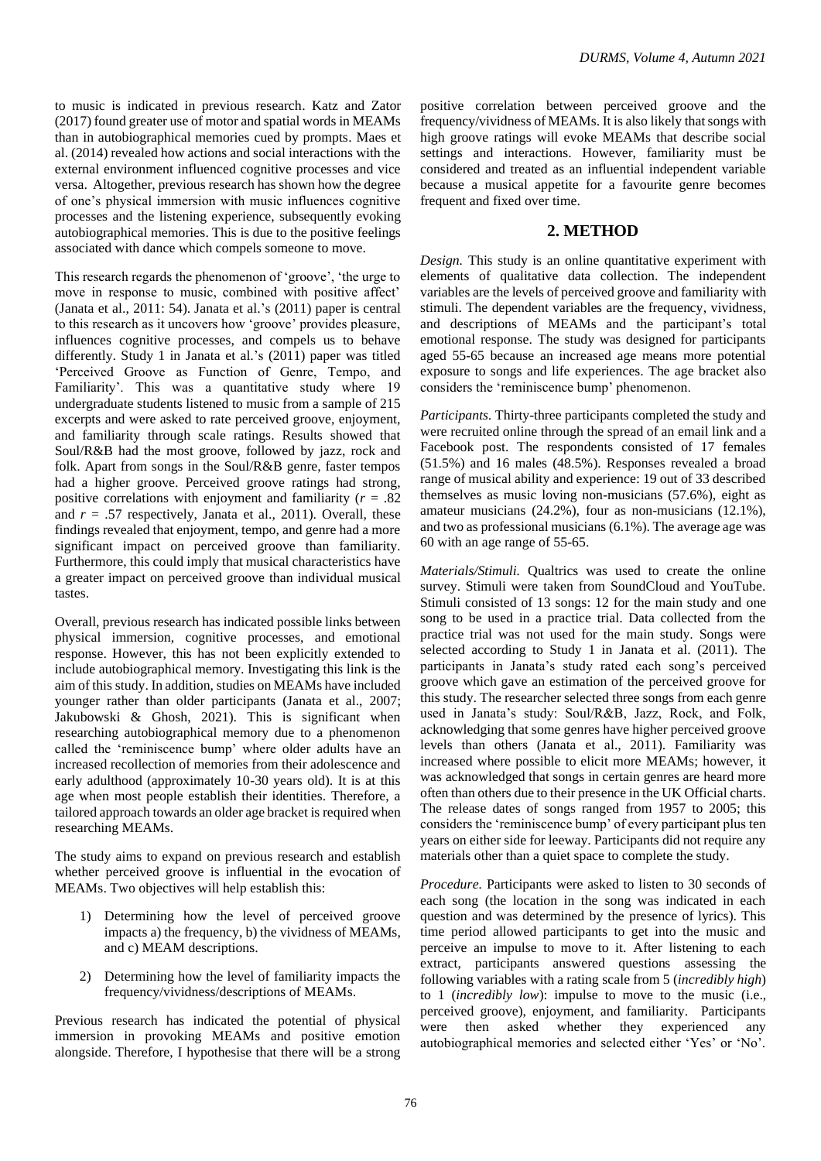to music is indicated in previous research. Katz and Zator (2017) found greater use of motor and spatial words in MEAMs than in autobiographical memories cued by prompts. Maes et al. (2014) revealed how actions and social interactions with the external environment influenced cognitive processes and vice versa. Altogether, previous research has shown how the degree of one's physical immersion with music influences cognitive processes and the listening experience, subsequently evoking autobiographical memories. This is due to the positive feelings associated with dance which compels someone to move.

This research regards the phenomenon of 'groove', 'the urge to move in response to music, combined with positive affect' (Janata et al., 2011: 54). Janata et al.'s (2011) paper is central to this research as it uncovers how 'groove' provides pleasure, influences cognitive processes, and compels us to behave differently. Study 1 in Janata et al.'s (2011) paper was titled 'Perceived Groove as Function of Genre, Tempo, and Familiarity'. This was a quantitative study where 19 undergraduate students listened to music from a sample of 215 excerpts and were asked to rate perceived groove, enjoyment, and familiarity through scale ratings. Results showed that Soul/R&B had the most groove, followed by jazz, rock and folk. Apart from songs in the Soul/R&B genre, faster tempos had a higher groove. Perceived groove ratings had strong, positive correlations with enjoyment and familiarity (*r* = .82 and  $r = .57$  respectively, Janata et al., 2011). Overall, these findings revealed that enjoyment, tempo, and genre had a more significant impact on perceived groove than familiarity. Furthermore, this could imply that musical characteristics have a greater impact on perceived groove than individual musical tastes.

Overall, previous research has indicated possible links between physical immersion, cognitive processes, and emotional response. However, this has not been explicitly extended to include autobiographical memory. Investigating this link is the aim of this study. In addition, studies on MEAMs have included younger rather than older participants (Janata et al., 2007; Jakubowski & Ghosh, 2021). This is significant when researching autobiographical memory due to a phenomenon called the 'reminiscence bump' where older adults have an increased recollection of memories from their adolescence and early adulthood (approximately 10-30 years old). It is at this age when most people establish their identities. Therefore, a tailored approach towards an older age bracket is required when researching MEAMs.

The study aims to expand on previous research and establish whether perceived groove is influential in the evocation of MEAMs. Two objectives will help establish this:

- 1) Determining how the level of perceived groove impacts a) the frequency, b) the vividness of MEAMs, and c) MEAM descriptions.
- 2) Determining how the level of familiarity impacts the frequency/vividness/descriptions of MEAMs.

Previous research has indicated the potential of physical immersion in provoking MEAMs and positive emotion alongside. Therefore, I hypothesise that there will be a strong

positive correlation between perceived groove and the frequency/vividness of MEAMs. It is also likely that songs with high groove ratings will evoke MEAMs that describe social settings and interactions. However, familiarity must be considered and treated as an influential independent variable because a musical appetite for a favourite genre becomes frequent and fixed over time.

### **2. METHOD**

*Design.* This study is an online quantitative experiment with elements of qualitative data collection. The independent variables are the levels of perceived groove and familiarity with stimuli. The dependent variables are the frequency, vividness, and descriptions of MEAMs and the participant's total emotional response. The study was designed for participants aged 55-65 because an increased age means more potential exposure to songs and life experiences. The age bracket also considers the 'reminiscence bump' phenomenon.

*Participants.* Thirty-three participants completed the study and were recruited online through the spread of an email link and a Facebook post. The respondents consisted of 17 females (51.5%) and 16 males (48.5%). Responses revealed a broad range of musical ability and experience: 19 out of 33 described themselves as music loving non-musicians (57.6%), eight as amateur musicians (24.2%), four as non-musicians (12.1%), and two as professional musicians (6.1%). The average age was 60 with an age range of 55-65.

*Materials/Stimuli.* Qualtrics was used to create the online survey. Stimuli were taken from SoundCloud and YouTube. Stimuli consisted of 13 songs: 12 for the main study and one song to be used in a practice trial. Data collected from the practice trial was not used for the main study. Songs were selected according to Study 1 in Janata et al. (2011). The participants in Janata's study rated each song's perceived groove which gave an estimation of the perceived groove for this study. The researcher selected three songs from each genre used in Janata's study: Soul/R&B, Jazz, Rock, and Folk, acknowledging that some genres have higher perceived groove levels than others (Janata et al., 2011). Familiarity was increased where possible to elicit more MEAMs; however, it was acknowledged that songs in certain genres are heard more often than others due to their presence in the UK Official charts. The release dates of songs ranged from 1957 to 2005; this considers the 'reminiscence bump' of every participant plus ten years on either side for leeway. Participants did not require any materials other than a quiet space to complete the study.

*Procedure.* Participants were asked to listen to 30 seconds of each song (the location in the song was indicated in each question and was determined by the presence of lyrics). This time period allowed participants to get into the music and perceive an impulse to move to it. After listening to each extract, participants answered questions assessing the following variables with a rating scale from 5 (*incredibly high*) to 1 (*incredibly low*): impulse to move to the music (i.e., perceived groove), enjoyment, and familiarity. Participants were then asked whether they experienced any autobiographical memories and selected either 'Yes' or 'No'.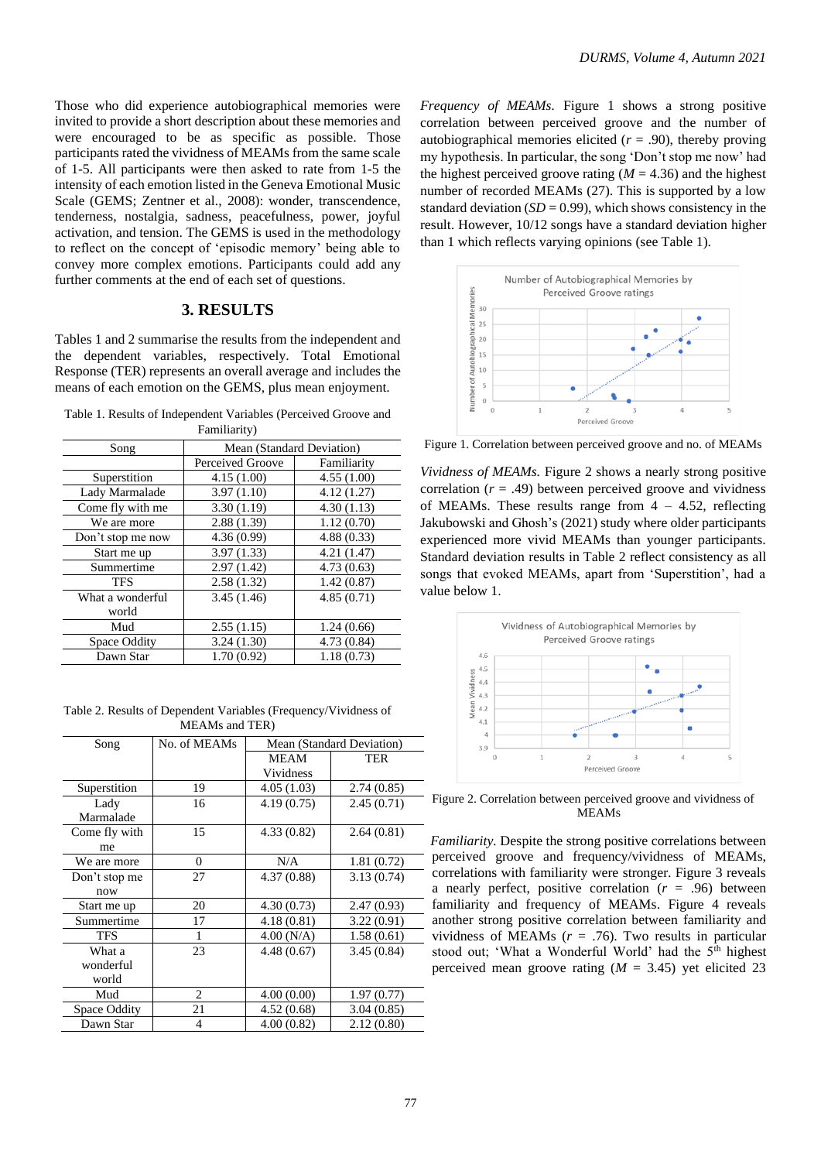Those who did experience autobiographical memories were invited to provide a short description about these memories and were encouraged to be as specific as possible. Those participants rated the vividness of MEAMs from the same scale of 1-5. All participants were then asked to rate from 1-5 the intensity of each emotion listed in the Geneva Emotional Music Scale (GEMS; Zentner et al., 2008): wonder, transcendence, tenderness, nostalgia, sadness, peacefulness, power, joyful activation, and tension. The GEMS is used in the methodology to reflect on the concept of 'episodic memory' being able to convey more complex emotions. Participants could add any further comments at the end of each set of questions.

# **3. RESULTS**

Tables 1 and 2 summarise the results from the independent and the dependent variables, respectively. Total Emotional Response (TER) represents an overall average and includes the means of each emotion on the GEMS, plus mean enjoyment.

Table 1. Results of Independent Variables (Perceived Groove and Familiarity)

| Mean (Standard Deviation) |             |  |
|---------------------------|-------------|--|
| Perceived Groove          | Familiarity |  |
| 4.15(1.00)                | 4.55(1.00)  |  |
| 3.97(1.10)                | 4.12(1.27)  |  |
| 3.30(1.19)                | 4.30(1.13)  |  |
| 2.88(1.39)                | 1.12(0.70)  |  |
| 4.36(0.99)                | 4.88(0.33)  |  |
| 3.97(1.33)                | 4.21(1.47)  |  |
| 2.97(1.42)                | 4.73(0.63)  |  |
| 2.58(1.32)                | 1.42(0.87)  |  |
| 3.45(1.46)                | 4.85(0.71)  |  |
|                           |             |  |
| 2.55(1.15)                | 1.24(0.66)  |  |
| 3.24(1.30)                | 4.73(0.84)  |  |
| 1.70(0.92)                | 1.18(0.73)  |  |
|                           |             |  |

Table 2. Results of Dependent Variables (Frequency/Vividness of MEAMs and TER)

| Song                | No. of MEAMs | Mean (Standard Deviation) |            |
|---------------------|--------------|---------------------------|------------|
|                     |              | MEAM                      | TER        |
|                     |              | Vividness                 |            |
| Superstition        | 19           | 4.05(1.03)                | 2.74(0.85) |
| Lady                | 16           | 4.19(0.75)                | 2.45(0.71) |
| Marmalade           |              |                           |            |
| Come fly with       | 15           | 4.33(0.82)                | 2.64(0.81) |
| me                  |              |                           |            |
| We are more         | $\Omega$     | N/A                       | 1.81(0.72) |
| Don't stop me       | 27           | 4.37(0.88)                | 3.13(0.74) |
| now                 |              |                           |            |
| Start me up         | 20           | 4.30(0.73)                | 2.47(0.93) |
| Summertime          | 17           | 4.18(0.81)                | 3.22(0.91) |
| <b>TFS</b>          | 1            | 4.00(N/A)                 | 1.58(0.61) |
| What a              | 23           | 4.48(0.67)                | 3.45(0.84) |
| wonderful           |              |                           |            |
| world               |              |                           |            |
| Mud                 | 2            | 4.00(0.00)                | 1.97(0.77) |
| <b>Space Oddity</b> | 21           | 4.52(0.68)                | 3.04(0.85) |
| Dawn Star           | 4            | 4.00(0.82)                | 2.12(0.80) |

*Frequency of MEAMs.* Figure 1 shows a strong positive correlation between perceived groove and the number of autobiographical memories elicited  $(r = .90)$ , thereby proving my hypothesis. In particular, the song 'Don't stop me now' had the highest perceived groove rating  $(M = 4.36)$  and the highest number of recorded MEAMs (27). This is supported by a low standard deviation  $(SD = 0.99)$ , which shows consistency in the result. However, 10/12 songs have a standard deviation higher than 1 which reflects varying opinions (see Table 1).



Figure 1. Correlation between perceived groove and no. of MEAMs

*Vividness of MEAMs.* Figure 2 shows a nearly strong positive correlation  $(r = .49)$  between perceived groove and vividness of MEAMs. These results range from  $4 - 4.52$ , reflecting Jakubowski and Ghosh's (2021) study where older participants experienced more vivid MEAMs than younger participants. Standard deviation results in Table 2 reflect consistency as all songs that evoked MEAMs, apart from 'Superstition', had a value below 1.



Figure 2. Correlation between perceived groove and vividness of MEAMs

 *Familiarity.* Despite the strong positive correlations between perceived groove and frequency/vividness of MEAMs, correlations with familiarity were stronger. Figure 3 reveals a nearly perfect, positive correlation  $(r = .96)$  between familiarity and frequency of MEAMs. Figure 4 reveals another strong positive correlation between familiarity and vividness of MEAMs  $(r = .76)$ . Two results in particular stood out; 'What a Wonderful World' had the 5<sup>th</sup> highest perceived mean groove rating  $(M = 3.45)$  yet elicited 23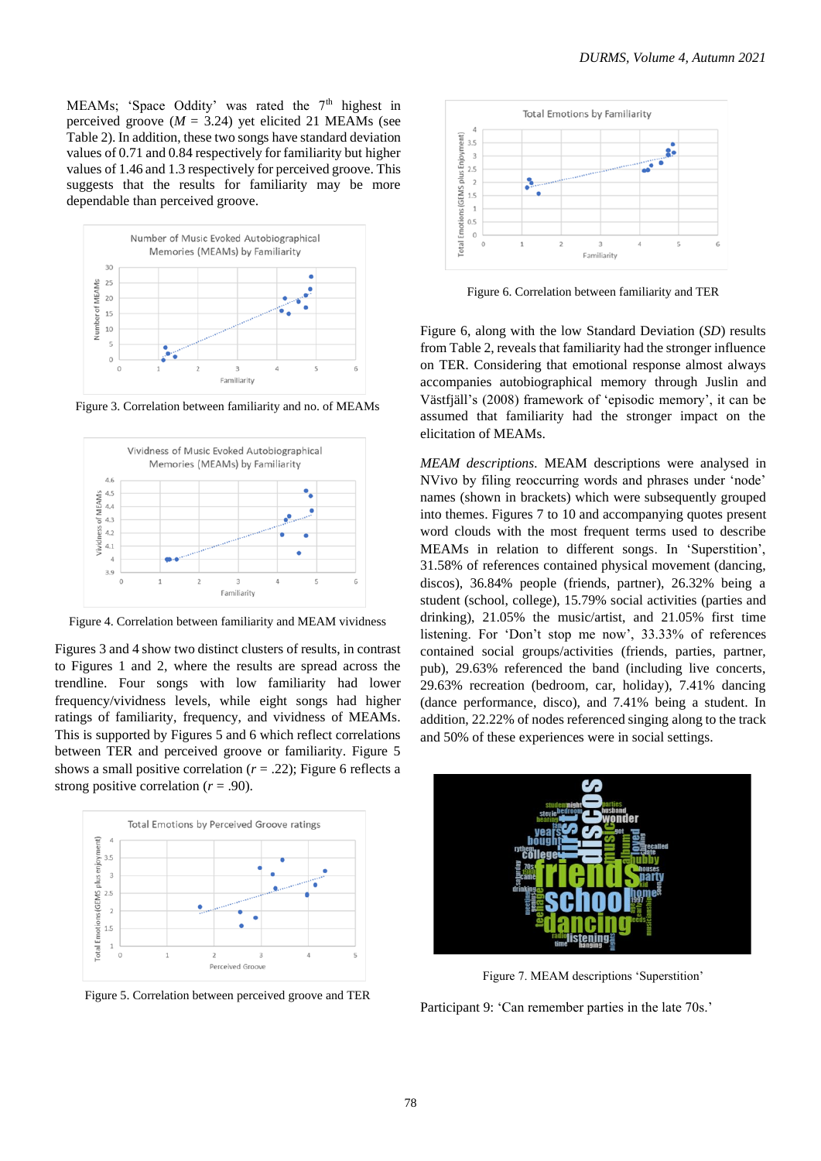MEAMs; 'Space Oddity' was rated the  $7<sup>th</sup>$  highest in perceived groove  $(M = 3.24)$  yet elicited 21 MEAMs (see Table 2). In addition, these two songs have standard deviation values of 0.71 and 0.84 respectively for familiarity but higher values of 1.46 and 1.3 respectively for perceived groove. This suggests that the results for familiarity may be more dependable than perceived groove.



Figure 3. Correlation between familiarity and no. of MEAMs



Figure 4. Correlation between familiarity and MEAM vividness

Figures 3 and 4 show two distinct clusters of results, in contrast to Figures 1 and 2, where the results are spread across the trendline. Four songs with low familiarity had lower frequency/vividness levels, while eight songs had higher ratings of familiarity, frequency, and vividness of MEAMs. This is supported by Figures 5 and 6 which reflect correlations between TER and perceived groove or familiarity. Figure 5 shows a small positive correlation  $(r = .22)$ ; Figure 6 reflects a strong positive correlation  $(r = .90)$ .



Figure 5. Correlation between perceived groove and TER



Figure 6. Correlation between familiarity and TER

Figure 6, along with the low Standard Deviation (*SD*) results from Table 2, reveals that familiarity had the stronger influence on TER. Considering that emotional response almost always accompanies autobiographical memory through Juslin and Västfjäll's (2008) framework of 'episodic memory', it can be assumed that familiarity had the stronger impact on the elicitation of MEAMs.

*MEAM descriptions.* MEAM descriptions were analysed in NVivo by filing reoccurring words and phrases under 'node' names (shown in brackets) which were subsequently grouped into themes. Figures 7 to 10 and accompanying quotes present word clouds with the most frequent terms used to describe MEAMs in relation to different songs. In 'Superstition', 31.58% of references contained physical movement (dancing, discos), 36.84% people (friends, partner), 26.32% being a student (school, college), 15.79% social activities (parties and drinking), 21.05% the music/artist, and 21.05% first time listening. For 'Don't stop me now', 33.33% of references contained social groups/activities (friends, parties, partner, pub), 29.63% referenced the band (including live concerts, 29.63% recreation (bedroom, car, holiday), 7.41% dancing (dance performance, disco), and 7.41% being a student. In addition, 22.22% of nodes referenced singing along to the track and 50% of these experiences were in social settings.



Figure 7. MEAM descriptions 'Superstition'

Participant 9: 'Can remember parties in the late 70s.'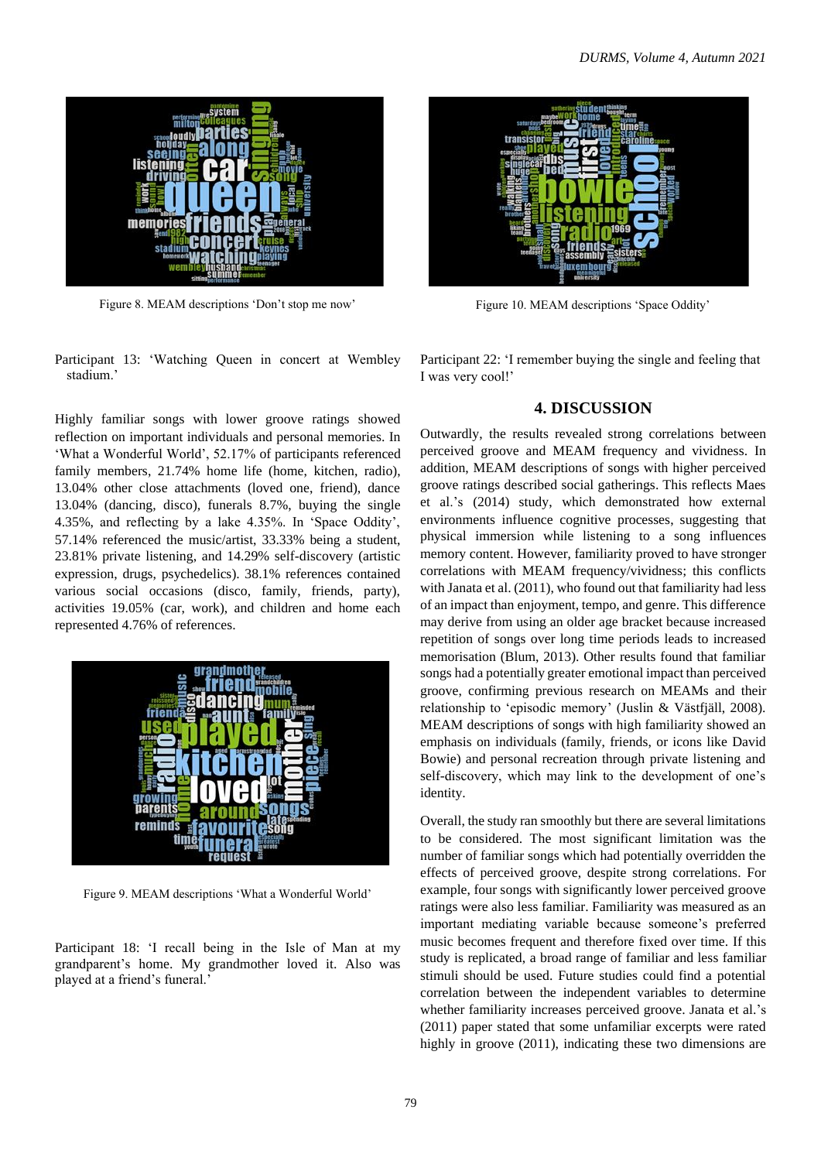

Figure 8. MEAM descriptions 'Don't stop me now'

Participant 13: 'Watching Queen in concert at Wembley stadium.'

Highly familiar songs with lower groove ratings showed reflection on important individuals and personal memories. In 'What a Wonderful World', 52.17% of participants referenced family members, 21.74% home life (home, kitchen, radio), 13.04% other close attachments (loved one, friend), dance 13.04% (dancing, disco), funerals 8.7%, buying the single 4.35%, and reflecting by a lake 4.35%. In 'Space Oddity', 57.14% referenced the music/artist, 33.33% being a student, 23.81% private listening, and 14.29% self-discovery (artistic expression, drugs, psychedelics). 38.1% references contained various social occasions (disco, family, friends, party), activities 19.05% (car, work), and children and home each represented 4.76% of references.



Figure 9. MEAM descriptions 'What a Wonderful World'

Participant 18: 'I recall being in the Isle of Man at my grandparent's home. My grandmother loved it. Also was played at a friend's funeral.'



Figure 10. MEAM descriptions 'Space Oddity'

Participant 22: 'I remember buying the single and feeling that I was very cool!'

# **4. DISCUSSION**

Outwardly, the results revealed strong correlations between perceived groove and MEAM frequency and vividness. In addition, MEAM descriptions of songs with higher perceived groove ratings described social gatherings. This reflects Maes et al.'s (2014) study, which demonstrated how external environments influence cognitive processes, suggesting that physical immersion while listening to a song influences memory content. However, familiarity proved to have stronger correlations with MEAM frequency/vividness; this conflicts with Janata et al.  $(2011)$ , who found out that familiarity had less of an impact than enjoyment, tempo, and genre. This difference may derive from using an older age bracket because increased repetition of songs over long time periods leads to increased memorisation (Blum, 2013). Other results found that familiar songs had a potentially greater emotional impact than perceived groove, confirming previous research on MEAMs and their relationship to 'episodic memory' (Juslin & Västfjäll, 2008). MEAM descriptions of songs with high familiarity showed an emphasis on individuals (family, friends, or icons like David Bowie) and personal recreation through private listening and self-discovery, which may link to the development of one's identity.

Overall, the study ran smoothly but there are several limitations to be considered. The most significant limitation was the number of familiar songs which had potentially overridden the effects of perceived groove, despite strong correlations. For example, four songs with significantly lower perceived groove ratings were also less familiar. Familiarity was measured as an important mediating variable because someone's preferred music becomes frequent and therefore fixed over time. If this study is replicated, a broad range of familiar and less familiar stimuli should be used. Future studies could find a potential correlation between the independent variables to determine whether familiarity increases perceived groove. Janata et al.'s (2011) paper stated that some unfamiliar excerpts were rated highly in groove (2011), indicating these two dimensions are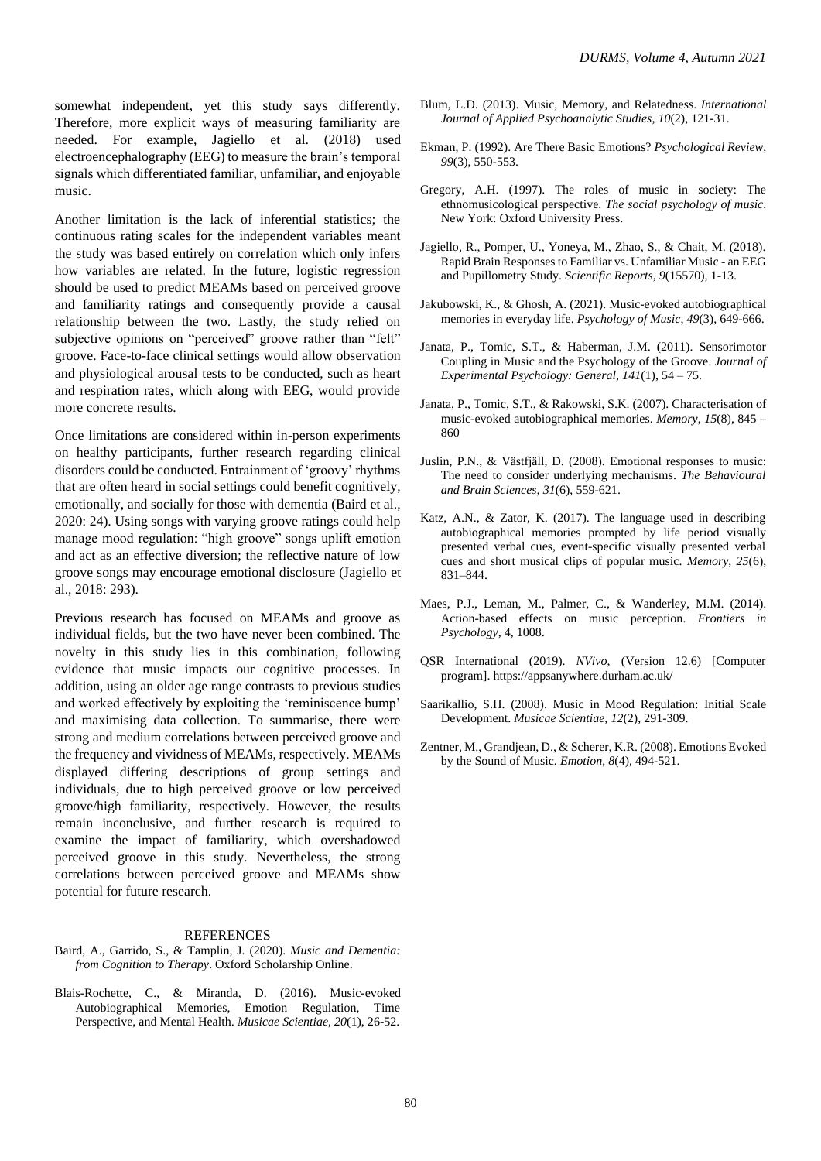somewhat independent, yet this study says differently. Therefore, more explicit ways of measuring familiarity are needed. For example, Jagiello et al. (2018) used electroencephalography (EEG) to measure the brain's temporal signals which differentiated familiar, unfamiliar, and enjoyable music.

Another limitation is the lack of inferential statistics; the continuous rating scales for the independent variables meant the study was based entirely on correlation which only infers how variables are related. In the future, logistic regression should be used to predict MEAMs based on perceived groove and familiarity ratings and consequently provide a causal relationship between the two. Lastly, the study relied on subjective opinions on "perceived" groove rather than "felt" groove. Face-to-face clinical settings would allow observation and physiological arousal tests to be conducted, such as heart and respiration rates, which along with EEG, would provide more concrete results.

Once limitations are considered within in-person experiments on healthy participants, further research regarding clinical disorders could be conducted. Entrainment of 'groovy' rhythms that are often heard in social settings could benefit cognitively, emotionally, and socially for those with dementia (Baird et al., 2020: 24). Using songs with varying groove ratings could help manage mood regulation: "high groove" songs uplift emotion and act as an effective diversion; the reflective nature of low groove songs may encourage emotional disclosure (Jagiello et al., 2018: 293).

Previous research has focused on MEAMs and groove as individual fields, but the two have never been combined. The novelty in this study lies in this combination, following evidence that music impacts our cognitive processes. In addition, using an older age range contrasts to previous studies and worked effectively by exploiting the 'reminiscence bump' and maximising data collection. To summarise, there were strong and medium correlations between perceived groove and the frequency and vividness of MEAMs, respectively. MEAMs displayed differing descriptions of group settings and individuals, due to high perceived groove or low perceived groove/high familiarity, respectively. However, the results remain inconclusive, and further research is required to examine the impact of familiarity, which overshadowed perceived groove in this study. Nevertheless, the strong correlations between perceived groove and MEAMs show potential for future research.

#### REFERENCES

Baird, A., Garrido, S., & Tamplin, J. (2020). *Music and Dementia: from Cognition to Therapy*. Oxford Scholarship Online.

Blais-Rochette, C., & Miranda, D. (2016). Music-evoked Autobiographical Memories, Emotion Regulation, Time Perspective, and Mental Health. *Musicae Scientiae, 20*(1), 26-52.

- Blum, L.D. (2013). Music, Memory, and Relatedness. *International Journal of Applied Psychoanalytic Studies, 10*(2), 121-31.
- Ekman, P. (1992). Are There Basic Emotions? *Psychological Review*, *99*(3), 550-553.
- Gregory, A.H. (1997). The roles of music in society: The ethnomusicological perspective. *The social psychology of music*. New York: Oxford University Press.
- Jagiello, R., Pomper, U., Yoneya, M., Zhao, S., & Chait, M. (2018). Rapid Brain Responses to Familiar vs. Unfamiliar Music - an EEG and Pupillometry Study. *Scientific Reports, 9*(15570), 1-13.
- Jakubowski, K., & Ghosh, A. (2021). Music-evoked autobiographical memories in everyday life. *Psychology of Music*, *49*(3), 649-666.
- Janata, P., Tomic, S.T., & Haberman, J.M. (2011). Sensorimotor Coupling in Music and the Psychology of the Groove. *Journal of Experimental Psychology: General, 141*(1), 54 – 75.
- Janata, P., Tomic, S.T., & Rakowski, S.K. (2007). Characterisation of music-evoked autobiographical memories. *Memory*, *15*(8), 845 – 860
- Juslin, P.N., & Västfjäll, D. (2008). Emotional responses to music: The need to consider underlying mechanisms. *The Behavioural and Brain Sciences, 31*(6), 559-621.
- Katz, A.N., & Zator, K. (2017). The language used in describing autobiographical memories prompted by life period visually presented verbal cues, event-specific visually presented verbal cues and short musical clips of popular music. *Memory*, *25*(6), 831–844.
- Maes, P.J., Leman, M., Palmer, C., & Wanderley, M.M. (2014). Action-based effects on music perception. *Frontiers in Psychology*, 4, 1008.
- QSR International (2019). *NVivo*, (Version 12.6) [Computer program]. https://appsanywhere.durham.ac.uk/
- Saarikallio, S.H. (2008). Music in Mood Regulation: Initial Scale Development. *Musicae Scientiae, 12*(2), 291-309.
- Zentner, M., Grandjean, D., & Scherer, K.R. (2008). Emotions Evoked by the Sound of Music. *Emotion*, *8*(4), 494-521.